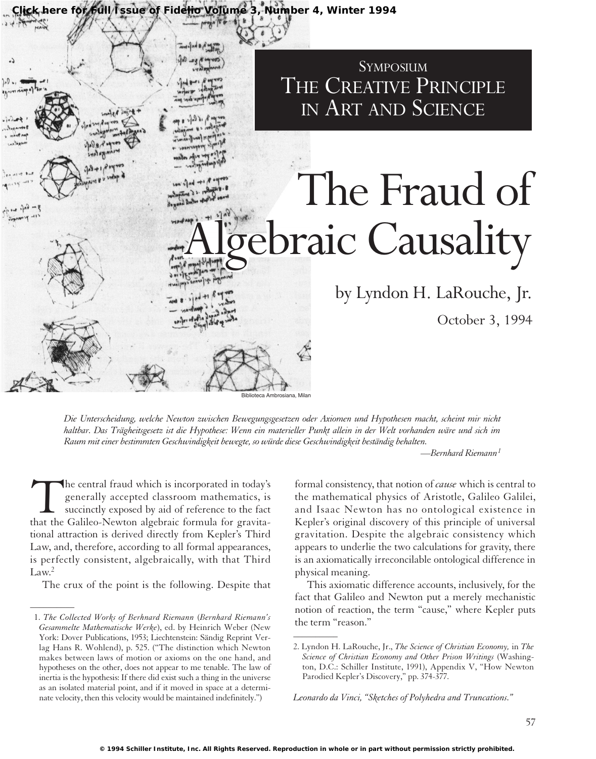

*Die Unterscheidung, welche Newton zwischen Bewegungsgesetzen oder Axiomen und Hypothesen macht, scheint mir nicht haltbar. Das Trägheitsgesetz ist die Hypothese: Wenn ein materieller Punkt allein in der Welt vorhanden wäre und sich im Raum mit einer bestimmten Geschwindigkeit bewegte, so würde diese Geschwindigkeit beständig behalten.*

*—Bernhard Riemann<sup>1</sup>*

The central fraud which is incorporated in today's<br>generally accepted classroom mathematics, is<br>succinctly exposed by aid of reference to the fact<br>that the Galileo-Newton algebraic formula for gravitagenerally accepted classroom mathematics, is succinctly exposed by aid of reference to the fact tional attraction is derived directly from Kepler's Third Law, and, therefore, according to all formal appearances, is perfectly consistent, algebraically, with that Third  $Law<sup>2</sup>$ 

The crux of the point is the following. Despite that

 $\overline{\phantom{a}}$ 

formal consistency, that notion of *cause* which is central to the mathematical physics of Aristotle, Galileo Galilei, and Isaac Newton has no ontological existence in Kepler's original discovery of this principle of universal gravitation. Despite the algebraic consistency which appears to underlie the two calculations for gravity, there is an axiomatically irreconcilable ontological difference in physical meaning.

This axiomatic difference accounts, inclusively, for the fact that Galileo and Newton put a merely mechanistic notion of reaction, the term "cause," where Kepler puts the term "reason."

*Leonardo da Vinci, "Sketches of Polyhedra and Truncations."*

<sup>1.</sup> *The Collected Works of Berhnard Riemann* (*Bernhard Riemann's Gesammelte Mathematische Werke*), ed. by Heinrich Weber (New York: Dover Publications, 1953; Liechtenstein: Sändig Reprint Verlag Hans R. Wohlend), p. 525. ("The distinction which Newton makes between laws of motion or axioms on the one hand, and hypotheses on the other, does not appear to me tenable. The law of inertia is the hypothesis: If there did exist such a thing in the universe as an isolated material point, and if it moved in space at a determinate velocity, then this velocity would be maintained indefinitely.")

<sup>2.</sup> Lyndon H. LaRouche, Jr., *The Science of Christian Economy,* in *The Science of Christian Economy and Other Prison Writings* (Washington, D.C.: Schiller Institute, 1991), Appendix V, "How Newton Parodied Kepler's Discovery," pp. 374-377.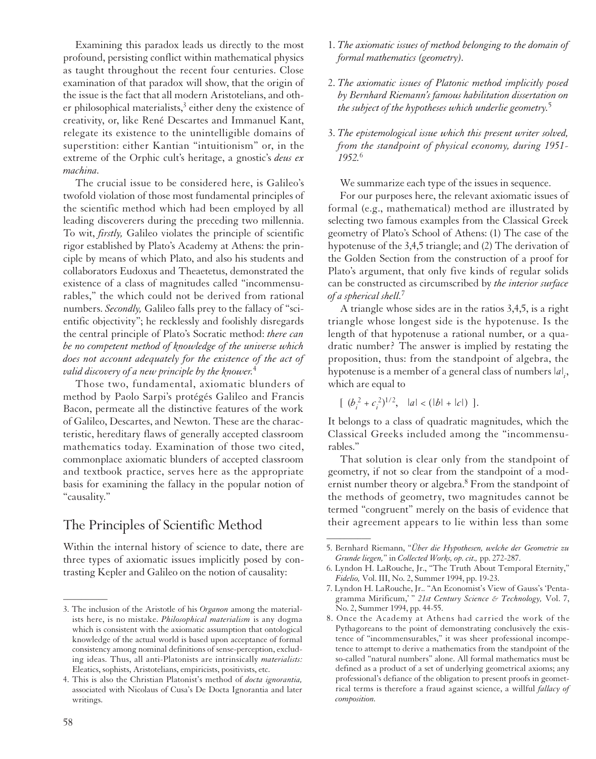Examining this paradox leads us directly to the most profound, persisting conflict within mathematical physics as taught throughout the recent four centuries. Close examination of that paradox will show, that the origin of the issue is the fact that all modern Aristotelians, and other philosophical materialists, $3$  either deny the existence of creativity, or, like René Descartes and Immanuel Kant, relegate its existence to the unintelligible domains of superstition: either Kantian "intuitionism" or, in the extreme of the Orphic cult's heritage, a gnostic's *deus ex machina.*

The crucial issue to be considered here, is Galileo's twofold violation of those most fundamental principles of the scientific method which had been employed by all leading discoverers during the preceding two millennia. To wit, *firstly,* Galileo violates the principle of scientific rigor established by Plato's Academy at Athens: the principle by means of which Plato, and also his students and collaborators Eudoxus and Theaetetus, demonstrated the existence of a class of magnitudes called "incommensurables," the which could not be derived from rational numbers. *Secondly,* Galileo falls prey to the fallacy of "scientific objectivity"; he recklessly and foolishly disregards the central principle of Plato's Socratic method: *there can be no competent method of knowledge of the universe which does not account adequately for the existence of the act of valid discovery of a new principle by the knower.*<sup>4</sup>

Those two, fundamental, axiomatic blunders of method by Paolo Sarpi's protégés Galileo and Francis Bacon, permeate all the distinctive features of the work of Galileo, Descartes, and Newton. These are the characteristic, hereditary flaws of generally accepted classroom mathematics today. Examination of those two cited, commonplace axiomatic blunders of accepted classroom and textbook practice, serves here as the appropriate basis for examining the fallacy in the popular notion of "causality."

## The Principles of Scientific Method

Within the internal history of science to date, there are three types of axiomatic issues implicitly posed by contrasting Kepler and Galileo on the notion of causality:

- 1. *The axiomatic issues of method belonging to the domain of formal mathematics (geometry).*
- 2. *The axiomatic issues of Platonic method implicitly posed by Bernhard Riemann's famous habilitation dissertation on the subject of the hypotheses which underlie geometry.*<sup>5</sup>
- 3. *The epistemological issue which this present writer solved, from the standpoint of physical economy, during 1951- 1952.*<sup>6</sup>

We summarize each type of the issues in sequence.

For our purposes here, the relevant axiomatic issues of formal (e.g., mathematical) method are illustrated by selecting two famous examples from the Classical Greek geometry of Plato's School of Athens: (1) The case of the hypotenuse of the 3,4,5 triangle; and (2) The derivation of the Golden Section from the construction of a proof for Plato's argument, that only five kinds of regular solids can be constructed as circumscribed by *the interior surface of a spherical shell.*<sup>7</sup>

A triangle whose sides are in the ratios 3,4,5, is a right triangle whose longest side is the hypotenuse. Is the length of that hypotenuse a rational number, or a quadratic number? The answer is implied by restating the proposition, thus: from the standpoint of algebra, the hypotenuse is a member of a general class of numbers  $|a|_i$ , which are equal to

$$
[ (b_i^2 + c_i^2)^{1/2}, \quad |a| < (|b| + |c|) ].
$$

 $\overline{\phantom{a}}$ 

It belongs to a class of quadratic magnitudes, which the Classical Greeks included among the "incommensurables."

That solution is clear only from the standpoint of geometry, if not so clear from the standpoint of a modernist number theory or algebra.<sup>8</sup> From the standpoint of the methods of geometry, two magnitudes cannot be termed "congruent" merely on the basis of evidence that their agreement appears to lie within less than some

<sup>3.</sup> The inclusion of the Aristotle of his *Organon* among the materialists here, is no mistake. *Philosophical materialism* is any dogma which is consistent with the axiomatic assumption that ontological knowledge of the actual world is based upon acceptance of formal consistency among nominal definitions of sense-perception, excluding ideas. Thus, all anti-Platonists are intrinsically *materialists:* Eleatics, sophists, Aristotelians, empiricists, positivists, etc.

<sup>4.</sup> This is also the Christian Platonist's method of *docta ignorantia,* associated with Nicolaus of Cusa's De Docta Ignorantia and later writings.

<sup>5.</sup> Bernhard Riemann, "*Über die Hypothesen, welche der Geometrie zu Grunde liegen,*" in *Collected Works, op. cit.,* pp. 272-287.

<sup>6.</sup> Lyndon H. LaRouche, Jr., "The Truth About Temporal Eternity," *Fidelio,* Vol. III, No. 2, Summer 1994, pp. 19-23.

<sup>7.</sup> Lyndon H. LaRouche, Jr.. "An Economist's View of Gauss's 'Pentagramma Mirificum,' " *21st Century Science & Technology,* Vol. 7, No. 2, Summer 1994, pp. 44-55.

<sup>8.</sup> Once the Academy at Athens had carried the work of the Pythagoreans to the point of demonstrating conclusively the existence of "incommensurables," it was sheer professional incompetence to attempt to derive a mathematics from the standpoint of the so-called "natural numbers" alone. All formal mathematics must be defined as a product of a set of underlying geometrical axioms; any professional's defiance of the obligation to present proofs in geometrical terms is therefore a fraud against science, a willful *fallacy of composition.*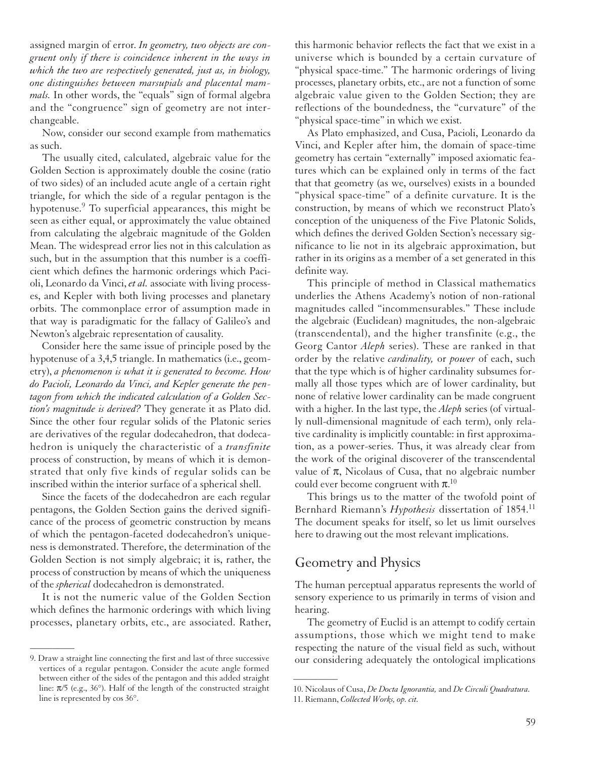assigned margin of error. *In geometry, two objects are congruent only if there is coincidence inherent in the ways in which the two are respectively generated, just as, in biology, one distinguishes between marsupials and placental mammals.* In other words, the "equals" sign of formal algebra and the "congruence" sign of geometry are not interchangeable.

Now, consider our second example from mathematics as such.

The usually cited, calculated, algebraic value for the Golden Section is approximately double the cosine (ratio of two sides) of an included acute angle of a certain right triangle, for which the side of a regular pentagon is the hypotenuse.<sup>9</sup> To superficial appearances, this might be seen as either equal, or approximately the value obtained from calculating the algebraic magnitude of the Golden Mean. The widespread error lies not in this calculation as such, but in the assumption that this number is a coefficient which defines the harmonic orderings which Pacioli, Leonardo da Vinci, *et al.* associate with living processes, and Kepler with both living processes and planetary orbits. The commonplace error of assumption made in that way is paradigmatic for the fallacy of Galileo's and Newton's algebraic representation of causality.

Consider here the same issue of principle posed by the hypotenuse of a 3,4,5 triangle. In mathematics (i.e., geometry), *a phenomenon is what it is generated to become. How do Pacioli, Leonardo da Vinci, and Kepler generate the pentagon from which the indicated calculation of a Golden Section's magnitude is derived?* They generate it as Plato did. Since the other four regular solids of the Platonic series are derivatives of the regular dodecahedron, that dodecahedron is uniquely the characteristic of a *transfinite* process of construction, by means of which it is demonstrated that only five kinds of regular solids can be inscribed within the interior surface of a spherical shell.

Since the facets of the dodecahedron are each regular pentagons, the Golden Section gains the derived significance of the process of geometric construction by means of which the pentagon-faceted dodecahedron's uniqueness is demonstrated. Therefore, the determination of the Golden Section is not simply algebraic; it is, rather, the process of construction by means of which the uniqueness of the *spherical* dodecahedron is demonstrated.

It is not the numeric value of the Golden Section which defines the harmonic orderings with which living processes, planetary orbits, etc., are associated. Rather,

 $\overline{\phantom{a}}$ 

this harmonic behavior reflects the fact that we exist in a universe which is bounded by a certain curvature of "physical space-time." The harmonic orderings of living processes, planetary orbits, etc., are not a function of some algebraic value given to the Golden Section; they are reflections of the boundedness, the "curvature" of the "physical space-time" in which we exist.

As Plato emphasized, and Cusa, Pacioli, Leonardo da Vinci, and Kepler after him, the domain of space-time geometry has certain "externally" imposed axiomatic features which can be explained only in terms of the fact that that geometry (as we, ourselves) exists in a bounded "physical space-time" of a definite curvature. It is the construction, by means of which we reconstruct Plato's conception of the uniqueness of the Five Platonic Solids, which defines the derived Golden Section's necessary significance to lie not in its algebraic approximation, but rather in its origins as a member of a set generated in this definite way.

This principle of method in Classical mathematics underlies the Athens Academy's notion of non-rational magnitudes called "incommensurables." These include the algebraic (Euclidean) magnitudes, the non-algebraic (transcendental), and the higher transfinite (e.g., the Georg Cantor *Aleph* series). These are ranked in that order by the relative *cardinality,* or *power* of each, such that the type which is of higher cardinality subsumes formally all those types which are of lower cardinality, but none of relative lower cardinality can be made congruent with a higher. In the last type, the *Aleph* series (of virtually null-dimensional magnitude of each term), only relative cardinality is implicitly countable: in first approximation, as a power-series. Thus, it was already clear from the work of the original discoverer of the transcendental value of  $\pi$ , Nicolaus of Cusa, that no algebraic number could ever become congruent with  $\pi$ .<sup>10</sup>

This brings us to the matter of the twofold point of Bernhard Riemann's *Hypothesis* dissertation of 1854.<sup>11</sup> The document speaks for itself, so let us limit ourselves here to drawing out the most relevant implications.

### Geometry and Physics

 $\overline{\phantom{a}}$ 

The human perceptual apparatus represents the world of sensory experience to us primarily in terms of vision and hearing.

The geometry of Euclid is an attempt to codify certain assumptions, those which we might tend to make respecting the nature of the visual field as such, without our considering adequately the ontological implications

<sup>9.</sup> Draw a straight line connecting the first and last of three successive vertices of a regular pentagon. Consider the acute angle formed between either of the sides of the pentagon and this added straight line:  $\pi/5$  (e.g., 36°). Half of the length of the constructed straight line is represented by cos 36°.

<sup>10.</sup> Nicolaus of Cusa, *De Docta Ignorantia,* and *De Circuli Quadratura.* 11. Riemann, *Collected Works, op. cit.*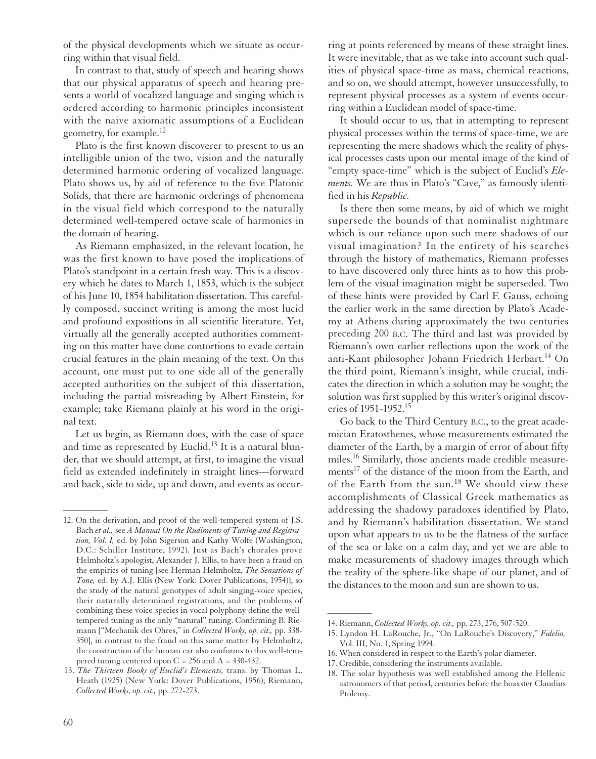of the physical developments which we situate as occurring within that visual field.

In contrast to that, study of speech and hearing shows that our physical apparatus of speech and hearing presents a world of vocalized language and singing which is ordered according to harmonic principles inconsistent with the naive axiomatic assumptions of a Euclidean geometry, for example.12

Plato is the first known discoverer to present to us an intelligible union of the two, vision and the naturally determined harmonic ordering of vocalized language. Plato shows us, by aid of reference to the five Platonic Solids, that there are harmonic orderings of phenomena in the visual field which correspond to the naturally determined well-tempered octave scale of harmonics in the domain of hearing.

As Riemann emphasized, in the relevant location, he was the first known to have posed the implications of Plato's standpoint in a certain fresh way. This is a discovery which he dates to March 1, 1853, which is the subject of his June 10, 1854 habilitation dissertation. This carefully composed, succinct writing is among the most lucid and profound expositions in all scientific literature. Yet, virtually all the generally accepted authorities commenting on this matter have done contortions to evade certain crucial features in the plain meaning of the text. On this account, one must put to one side all of the generally accepted authorities on the subject of this dissertation, including the partial misreading by Albert Einstein, for example; take Riemann plainly at his word in the original text.

Let us begin, as Riemann does, with the case of space and time as represented by Euclid.<sup>13</sup> It is a natural blunder, that we should attempt, at first, to imagine the visual field as extended indefinitely in straight lines—forward and back, side to side, up and down, and events as occurring at points referenced by means of these straight lines. It were inevitable, that as we take into account such qualities of physical space-time as mass, chemical reactions, and so on, we should attempt, however unsuccessfully, to represent physical processes as a system of events occurring within a Euclidean model of space-time.

It should occur to us, that in attempting to represent physical processes within the terms of space-time, we are representing the mere shadows which the reality of physical processes casts upon our mental image of the kind of "empty space-time" which is the subject of Euclid's *Elements.* We are thus in Plato's "Cave," as famously identified in his *Republic.*

Is there then some means, by aid of which we might supersede the bounds of that nominalist nightmare which is our reliance upon such mere shadows of our visual imagination? In the entirety of his searches through the history of mathematics, Riemann professes to have discovered only three hints as to how this problem of the visual imagination might be superseded. Two of these hints were provided by Carl F. Gauss, echoing the earlier work in the same direction by Plato's Academy at Athens during approximately the two centuries preceding 200 B.C. The third and last was provided by Riemann's own earlier reflections upon the work of the anti-Kant philosopher Johann Friedrich Herbart.<sup>14</sup> On the third point, Riemann's insight, while crucial, indicates the direction in which a solution may be sought; the solution was first supplied by this writer's original discoveries of 1951-1952.15

Go back to the Third Century B.C., to the great academician Eratosthenes, whose measurements estimated the diameter of the Earth, by a margin of error of about fifty miles.16 Similarly, those ancients made credible measurements<sup>17</sup> of the distance of the moon from the Earth, and of the Earth from the sun.<sup>18</sup> We should view these accomplishments of Classical Greek mathematics as addressing the shadowy paradoxes identified by Plato, and by Riemann's habilitation dissertation. We stand upon what appears to us to be the flatness of the surface of the sea or lake on a calm day, and yet we are able to make measurements of shadowy images through which the reality of the sphere-like shape of our planet, and of the distances to the moon and sun are shown to us.

 $\overline{\phantom{a}}$ 

<sup>12.</sup> On the derivation, and proof of the well-tempered system of J.S. Bach *et al.,* see *A Manual On the Rudiments of Tuning and Registration, Vol. I,* ed. by John Sigerson and Kathy Wolfe (Washington, D.C.: Schiller Institute, 1992). Just as Bach's chorales prove Helmholtz's apologist, Alexander J. Ellis, to have been a fraud on the empirics of tuning [see Herman Helmholtz, *The Sensations of Tone,* ed. by A.J. Ellis (New York: Dover Publications, 1954)], so the study of the natural genotypes of adult singing-voice species, their naturally determined registrations, and the problems of combining these voice-species in vocal polyphony define the welltempered tuning as the only "natural" tuning. Confirming B. Riemann ["Mechanik des Ohres," in *Collected Works, op. cit.,* pp. 338- 350], in contrast to the fraud on this same matter by Helmholtz, the construction of the human ear also conforms to this well-tempered tuning centered upon  $C = 256$  and  $A = 430-432$ .

<sup>13.</sup> *The Thirteen Books of Euclid's Elements,* trans. by Thomas L. Heath (1925) (New York: Dover Publications, 1956); Riemann, *Collected Works, op. cit.,* pp. 272-273.

<sup>14.</sup> Riemann, *Collected Works, op. cit.,* pp. 273, 276, 507-520.

<sup>15.</sup> Lyndon H. LaRouche, Jr., "On LaRouche's Discovery," *Fidelio,* Vol. III, No. 1, Spring 1994.

<sup>16.</sup> When considered in respect to the Earth's polar diameter.

<sup>17.</sup> Credible, considering the instruments available.

<sup>18.</sup> The solar hypothesis was well established among the Hellenic astronomers of that period, centuries before the hoaxster Claudius Ptolemy.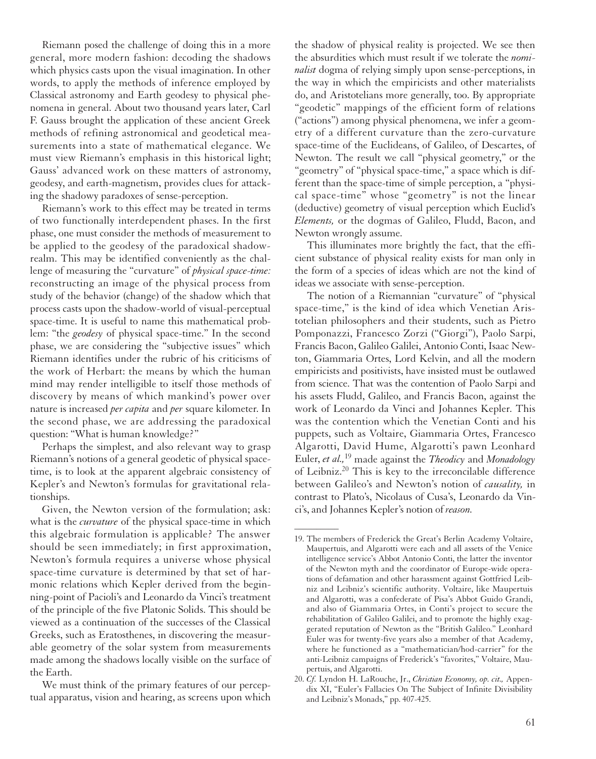Riemann posed the challenge of doing this in a more general, more modern fashion: decoding the shadows which physics casts upon the visual imagination. In other words, to apply the methods of inference employed by Classical astronomy and Earth geodesy to physical phenomena in general. About two thousand years later, Carl F. Gauss brought the application of these ancient Greek methods of refining astronomical and geodetical measurements into a state of mathematical elegance. We must view Riemann's emphasis in this historical light; Gauss' advanced work on these matters of astronomy, geodesy, and earth-magnetism, provides clues for attacking the shadowy paradoxes of sense-perception.

Riemann's work to this effect may be treated in terms of two functionally interdependent phases. In the first phase, one must consider the methods of measurement to be applied to the geodesy of the paradoxical shadowrealm. This may be identified conveniently as the challenge of measuring the "curvature" of *physical space-time:* reconstructing an image of the physical process from study of the behavior (change) of the shadow which that process casts upon the shadow-world of visual-perceptual space-time. It is useful to name this mathematical problem: "the *geodesy* of physical space-time." In the second phase, we are considering the "subjective issues" which Riemann identifies under the rubric of his criticisms of the work of Herbart: the means by which the human mind may render intelligible to itself those methods of discovery by means of which mankind's power over nature is increased *per capita* and *per* square kilometer. In the second phase, we are addressing the paradoxical question: "What is human knowledge?"

Perhaps the simplest, and also relevant way to grasp Riemann's notions of a general geodetic of physical spacetime, is to look at the apparent algebraic consistency of Kepler's and Newton's formulas for gravitational relationships.

Given, the Newton version of the formulation; ask: what is the *curvature* of the physical space-time in which this algebraic formulation is applicable? The answer should be seen immediately; in first approximation, Newton's formula requires a universe whose physical space-time curvature is determined by that set of harmonic relations which Kepler derived from the beginning-point of Pacioli's and Leonardo da Vinci's treatment of the principle of the five Platonic Solids. This should be viewed as a continuation of the successes of the Classical Greeks, such as Eratosthenes, in discovering the measurable geometry of the solar system from measurements made among the shadows locally visible on the surface of the Earth.

We must think of the primary features of our perceptual apparatus, vision and hearing, as screens upon which the shadow of physical reality is projected. We see then the absurdities which must result if we tolerate the *nominalist* dogma of relying simply upon sense-perceptions, in the way in which the empiricists and other materialists do, and Aristotelians more generally, too. By appropriate "geodetic" mappings of the efficient form of relations ("actions") among physical phenomena, we infer a geometry of a different curvature than the zero-curvature space-time of the Euclideans, of Galileo, of Descartes, of Newton. The result we call "physical geometry," or the "geometry" of "physical space-time," a space which is different than the space-time of simple perception, a "physical space-time" whose "geometry" is not the linear (deductive) geometry of visual perception which Euclid's *Elements,* or the dogmas of Galileo, Fludd, Bacon, and Newton wrongly assume.

This illuminates more brightly the fact, that the efficient substance of physical reality exists for man only in the form of a species of ideas which are not the kind of ideas we associate with sense-perception.

The notion of a Riemannian "curvature" of "physical space-time," is the kind of idea which Venetian Aristotelian philosophers and their students, such as Pietro Pomponazzi, Francesco Zorzi ("Giorgi"), Paolo Sarpi, Francis Bacon, Galileo Galilei, Antonio Conti, Isaac Newton, Giammaria Ortes, Lord Kelvin, and all the modern empiricists and positivists, have insisted must be outlawed from science. That was the contention of Paolo Sarpi and his assets Fludd, Galileo, and Francis Bacon, against the work of Leonardo da Vinci and Johannes Kepler. This was the contention which the Venetian Conti and his puppets, such as Voltaire, Giammaria Ortes, Francesco Algarotti, David Hume, Algarotti's pawn Leonhard Euler, *et al.,*<sup>19</sup> made against the *Theodicy* and *Monadology* of Leibniz.20 This is key to the irreconcilable difference between Galileo's and Newton's notion of *causality,* in contrast to Plato's, Nicolaus of Cusa's, Leonardo da Vinci's, and Johannes Kepler's notion of *reason.*

<sup>19.</sup> The members of Frederick the Great's Berlin Academy Voltaire, Maupertuis, and Algarotti were each and all assets of the Venice intelligence service's Abbot Antonio Conti, the latter the inventor of the Newton myth and the coordinator of Europe-wide operations of defamation and other harassment against Gottfried Leibniz and Leibniz's scientific authority. Voltaire, like Maupertuis and Algarotti, was a confederate of Pisa's Abbot Guido Grandi, and also of Giammaria Ortes, in Conti's project to secure the rehabilitation of Galileo Galilei, and to promote the highly exaggerated reputation of Newton as the "British Galileo." Leonhard Euler was for twenty-five years also a member of that Academy, where he functioned as a "mathematician/hod-carrier" for the anti-Leibniz campaigns of Frederick's "favorites," Voltaire, Maupertuis, and Algarotti.

<sup>20.</sup> *Cf.* Lyndon H. LaRouche, Jr., *Christian Economy, op. cit.,* Appendix XI, "Euler's Fallacies On The Subject of Infinite Divisibility and Leibniz's Monads," pp. 407-425.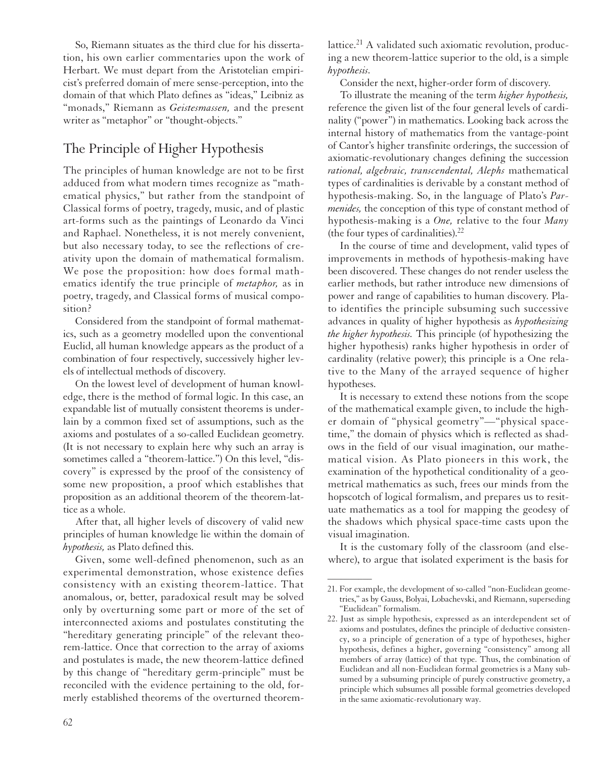So, Riemann situates as the third clue for his dissertation, his own earlier commentaries upon the work of Herbart. We must depart from the Aristotelian empiricist's preferred domain of mere sense-perception, into the domain of that which Plato defines as "ideas," Leibniz as "monads," Riemann as *Geistesmassen,* and the present writer as "metaphor" or "thought-objects."

# The Principle of Higher Hypothesis

The principles of human knowledge are not to be first adduced from what modern times recognize as "mathematical physics," but rather from the standpoint of Classical forms of poetry, tragedy, music, and of plastic art-forms such as the paintings of Leonardo da Vinci and Raphael. Nonetheless, it is not merely convenient, but also necessary today, to see the reflections of creativity upon the domain of mathematical formalism. We pose the proposition: how does formal mathematics identify the true principle of *metaphor,* as in poetry, tragedy, and Classical forms of musical composition?

Considered from the standpoint of formal mathematics, such as a geometry modelled upon the conventional Euclid, all human knowledge appears as the product of a combination of four respectively, successively higher levels of intellectual methods of discovery.

On the lowest level of development of human knowledge, there is the method of formal logic. In this case, an expandable list of mutually consistent theorems is underlain by a common fixed set of assumptions, such as the axioms and postulates of a so-called Euclidean geometry. (It is not necessary to explain here why such an array is sometimes called a "theorem-lattice.") On this level, "discovery" is expressed by the proof of the consistency of some new proposition, a proof which establishes that proposition as an additional theorem of the theorem-lattice as a whole.

After that, all higher levels of discovery of valid new principles of human knowledge lie within the domain of *hypothesis,* as Plato defined this.

Given, some well-defined phenomenon, such as an experimental demonstration, whose existence defies consistency with an existing theorem-lattice. That anomalous, or, better, paradoxical result may be solved only by overturning some part or more of the set of interconnected axioms and postulates constituting the "hereditary generating principle" of the relevant theorem-lattice. Once that correction to the array of axioms and postulates is made, the new theorem-lattice defined by this change of "hereditary germ-principle" must be reconciled with the evidence pertaining to the old, formerly established theorems of the overturned theorem-

lattice.<sup>21</sup> A validated such axiomatic revolution, producing a new theorem-lattice superior to the old, is a simple *hypothesis.*

Consider the next, higher-order form of discovery.

To illustrate the meaning of the term *higher hypothesis,* reference the given list of the four general levels of cardinality ("power") in mathematics. Looking back across the internal history of mathematics from the vantage-point of Cantor's higher transfinite orderings, the succession of axiomatic-revolutionary changes defining the succession *rational, algebraic, transcendental, Alephs* mathematical types of cardinalities is derivable by a constant method of hypothesis-making. So, in the language of Plato's *Parmenides,* the conception of this type of constant method of hypothesis-making is a *One,* relative to the four *Many* (the four types of cardinalities). $22$ 

In the course of time and development, valid types of improvements in methods of hypothesis-making have been discovered. These changes do not render useless the earlier methods, but rather introduce new dimensions of power and range of capabilities to human discovery. Plato identifies the principle subsuming such successive advances in quality of higher hypothesis as *hypothesizing the higher hypothesis.* This principle (of hypothesizing the higher hypothesis) ranks higher hypothesis in order of cardinality (relative power); this principle is a One relative to the Many of the arrayed sequence of higher hypotheses.

It is necessary to extend these notions from the scope of the mathematical example given, to include the higher domain of "physical geometry"—"physical spacetime," the domain of physics which is reflected as shadows in the field of our visual imagination, our mathematical vision. As Plato pioneers in this work, the examination of the hypothetical conditionality of a geometrical mathematics as such, frees our minds from the hopscotch of logical formalism, and prepares us to resituate mathematics as a tool for mapping the geodesy of the shadows which physical space-time casts upon the visual imagination.

It is the customary folly of the classroom (and elsewhere), to argue that isolated experiment is the basis for

<sup>21.</sup> For example, the development of so-called "non-Euclidean geometries," as by Gauss, Bolyai, Lobachevski, and Riemann, superseding "Euclidean" formalism.

<sup>22.</sup> Just as simple hypothesis, expressed as an interdependent set of axioms and postulates, defines the principle of deductive consistency, so a principle of generation of a type of hypotheses, higher hypothesis, defines a higher, governing "consistency" among all members of array (lattice) of that type. Thus, the combination of Euclidean and all non-Euclidean formal geometries is a Many subsumed by a subsuming principle of purely constructive geometry, a principle which subsumes all possible formal geometries developed in the same axiomatic-revolutionary way.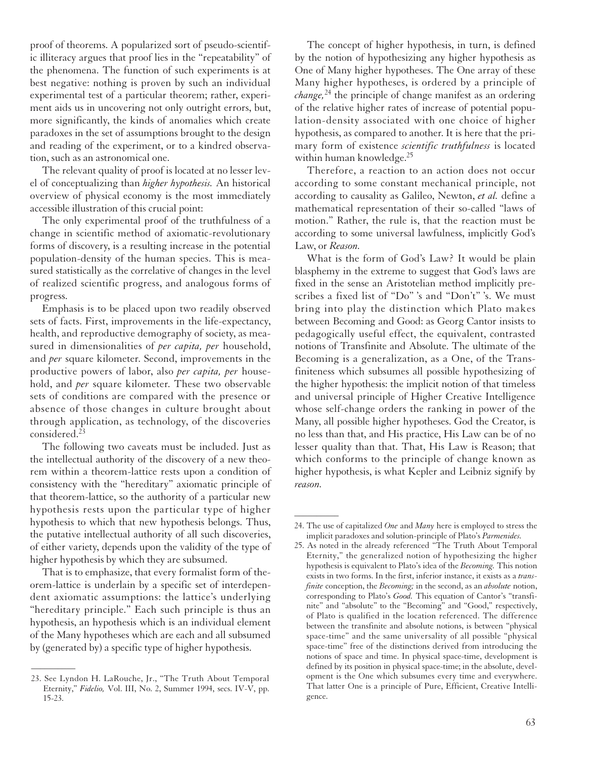proof of theorems. A popularized sort of pseudo-scientific illiteracy argues that proof lies in the "repeatability" of the phenomena. The function of such experiments is at best negative: nothing is proven by such an individual experimental test of a particular theorem; rather, experiment aids us in uncovering not only outright errors, but, more significantly, the kinds of anomalies which create paradoxes in the set of assumptions brought to the design and reading of the experiment, or to a kindred observation, such as an astronomical one.

The relevant quality of proof is located at no lesser level of conceptualizing than *higher hypothesis.* An historical overview of physical economy is the most immediately accessible illustration of this crucial point:

The only experimental proof of the truthfulness of a change in scientific method of axiomatic-revolutionary forms of discovery, is a resulting increase in the potential population-density of the human species. This is measured statistically as the correlative of changes in the level of realized scientific progress, and analogous forms of progress.

Emphasis is to be placed upon two readily observed sets of facts. First, improvements in the life-expectancy, health, and reproductive demography of society, as measured in dimensionalities of *per capita, per* household, and *per* square kilometer. Second, improvements in the productive powers of labor, also *per capita, per* household, and *per* square kilometer. These two observable sets of conditions are compared with the presence or absence of those changes in culture brought about through application, as technology, of the discoveries considered.23

The following two caveats must be included. Just as the intellectual authority of the discovery of a new theorem within a theorem-lattice rests upon a condition of consistency with the "hereditary" axiomatic principle of that theorem-lattice, so the authority of a particular new hypothesis rests upon the particular type of higher hypothesis to which that new hypothesis belongs. Thus, the putative intellectual authority of all such discoveries, of either variety, depends upon the validity of the type of higher hypothesis by which they are subsumed.

That is to emphasize, that every formalist form of theorem-lattice is underlain by a specific set of interdependent axiomatic assumptions: the lattice's underlying "hereditary principle." Each such principle is thus an hypothesis, an hypothesis which is an individual element of the Many hypotheses which are each and all subsumed by (generated by) a specific type of higher hypothesis.

 $\overline{\phantom{a}}$ 

The concept of higher hypothesis, in turn, is defined by the notion of hypothesizing any higher hypothesis as One of Many higher hypotheses. The One array of these Many higher hypotheses, is ordered by a principle of *change,*<sup>24</sup> the principle of change manifest as an ordering of the relative higher rates of increase of potential population-density associated with one choice of higher hypothesis, as compared to another. It is here that the primary form of existence *scientific truthfulness* is located within human knowledge.<sup>25</sup>

Therefore, a reaction to an action does not occur according to some constant mechanical principle, not according to causality as Galileo, Newton, *et al.* define a mathematical representation of their so-called "laws of motion." Rather, the rule is, that the reaction must be according to some universal lawfulness, implicitly God's Law, or *Reason.*

What is the form of God's Law? It would be plain blasphemy in the extreme to suggest that God's laws are fixed in the sense an Aristotelian method implicitly prescribes a fixed list of "Do" 's and "Don't" 's. We must bring into play the distinction which Plato makes between Becoming and Good: as Georg Cantor insists to pedagogically useful effect, the equivalent, contrasted notions of Transfinite and Absolute. The ultimate of the Becoming is a generalization, as a One, of the Transfiniteness which subsumes all possible hypothesizing of the higher hypothesis: the implicit notion of that timeless and universal principle of Higher Creative Intelligence whose self-change orders the ranking in power of the Many, all possible higher hypotheses. God the Creator, is no less than that, and His practice, His Law can be of no lesser quality than that. That, His Law is Reason; that which conforms to the principle of change known as higher hypothesis, is what Kepler and Leibniz signify by *reason.*

<sup>23.</sup> See Lyndon H. LaRouche, Jr., "The Truth About Temporal Eternity," *Fidelio,* Vol. III, No. 2, Summer 1994, secs. IV-V, pp. 15-23.

<sup>24.</sup> The use of capitalized *One* and *Many* here is employed to stress the implicit paradoxes and solution-principle of Plato's *Parmenides.*

<sup>25.</sup> As noted in the already referenced "The Truth About Temporal Eternity," the generalized notion of hypothesizing the higher hypothesis is equivalent to Plato's idea of the *Becoming.* This notion exists in two forms. In the first, inferior instance, it exists as a *transfinite* conception, the *Becoming;* in the second, as an *absolute* notion, corresponding to Plato's *Good.* This equation of Cantor's "transfinite" and "absolute" to the "Becoming" and "Good," respectively, of Plato is qualified in the location referenced. The difference between the transfinite and absolute notions, is between "physical space-time" and the same universality of all possible "physical space-time" free of the distinctions derived from introducing the notions of space and time. In physical space-time, development is defined by its position in physical space-time; in the absolute, development is the One which subsumes every time and everywhere. That latter One is a principle of Pure, Efficient, Creative Intelligence.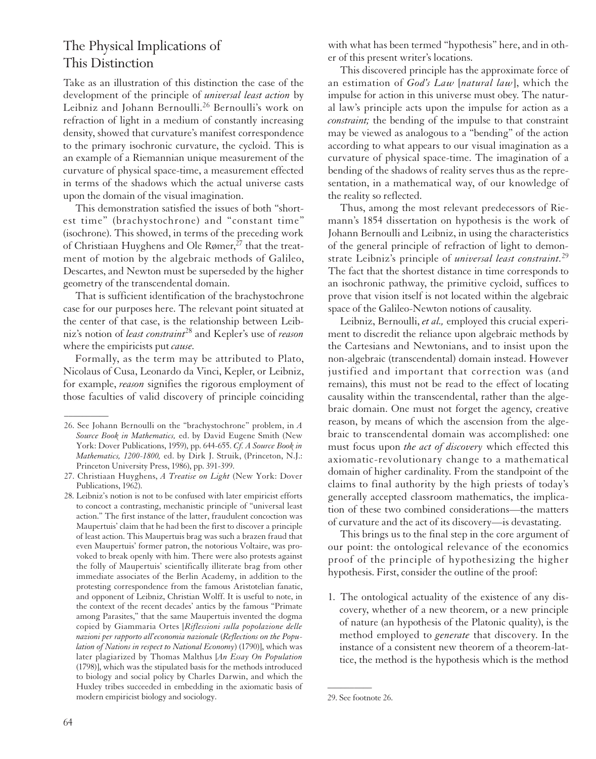## The Physical Implications of This Distinction

Take as an illustration of this distinction the case of the development of the principle of *universal least action* by Leibniz and Johann Bernoulli.<sup>26</sup> Bernoulli's work on refraction of light in a medium of constantly increasing density, showed that curvature's manifest correspondence to the primary isochronic curvature, the cycloid. This is an example of a Riemannian unique measurement of the curvature of physical space-time, a measurement effected in terms of the shadows which the actual universe casts upon the domain of the visual imagination.

This demonstration satisfied the issues of both "shortest time" (brachystochrone) and "constant time" (isochrone). This showed, in terms of the preceding work of Christiaan Huyghens and Ole Rømer,<sup>27</sup> that the treatment of motion by the algebraic methods of Galileo, Descartes, and Newton must be superseded by the higher geometry of the transcendental domain.

That is sufficient identification of the brachystochrone case for our purposes here. The relevant point situated at the center of that case, is the relationship between Leibniz's notion of *least constraint*<sup>28</sup> and Kepler's use of *reason* where the empiricists put *cause.*

Formally, as the term may be attributed to Plato, Nicolaus of Cusa, Leonardo da Vinci, Kepler, or Leibniz, for example, *reason* signifies the rigorous employment of those faculties of valid discovery of principle coinciding

with what has been termed "hypothesis" here, and in other of this present writer's locations.

This discovered principle has the approximate force of an estimation of *God's Law* [*natural law*], which the impulse for action in this universe must obey. The natural law's principle acts upon the impulse for action as a *constraint;* the bending of the impulse to that constraint may be viewed as analogous to a "bending" of the action according to what appears to our visual imagination as a curvature of physical space-time. The imagination of a bending of the shadows of reality serves thus as the representation, in a mathematical way, of our knowledge of the reality so reflected.

Thus, among the most relevant predecessors of Riemann's 1854 dissertation on hypothesis is the work of Johann Bernoulli and Leibniz, in using the characteristics of the general principle of refraction of light to demonstrate Leibniz's principle of *universal least constraint.*<sup>29</sup> The fact that the shortest distance in time corresponds to an isochronic pathway, the primitive cycloid, suffices to prove that vision itself is not located within the algebraic space of the Galileo-Newton notions of causality.

Leibniz, Bernoulli, *et al.,* employed this crucial experiment to discredit the reliance upon algebraic methods by the Cartesians and Newtonians, and to insist upon the non-algebraic (transcendental) domain instead. However justified and important that correction was (and remains), this must not be read to the effect of locating causality within the transcendental, rather than the algebraic domain. One must not forget the agency, creative reason, by means of which the ascension from the algebraic to transcendental domain was accomplished: one must focus upon *the act of discovery* which effected this axiomatic-revolutionary change to a mathematical domain of higher cardinality. From the standpoint of the claims to final authority by the high priests of today's generally accepted classroom mathematics, the implication of these two combined considerations—the matters of curvature and the act of its discovery—is devastating.

This brings us to the final step in the core argument of our point: the ontological relevance of the economics proof of the principle of hypothesizing the higher hypothesis. First, consider the outline of the proof:

1. The ontological actuality of the existence of any discovery, whether of a new theorem, or a new principle of nature (an hypothesis of the Platonic quality), is the method employed to *generate* that discovery. In the instance of a consistent new theorem of a theorem-lattice, the method is the hypothesis which is the method

 $\overline{\phantom{a}}$ 

<sup>26.</sup> See Johann Bernoulli on the "brachystochrone" problem, in *A Source Book in Mathematics,* ed. by David Eugene Smith (New York: Dover Publications, 1959), pp. 644-655. *Cf. A Source Book in Mathematics, 1200-1800,* ed. by Dirk J. Struik, (Princeton, N.J.: Princeton University Press, 1986), pp. 391-399.

<sup>27.</sup> Christiaan Huyghens, *A Treatise on Light* (New York: Dover Publications, 1962).

<sup>28.</sup> Leibniz's notion is not to be confused with later empiricist efforts to concoct a contrasting, mechanistic principle of "universal least action." The first instance of the latter, fraudulent concoction was Maupertuis' claim that he had been the first to discover a principle of least action. This Maupertuis brag was such a brazen fraud that even Maupertuis' former patron, the notorious Voltaire, was provoked to break openly with him. There were also protests against the folly of Maupertuis' scientifically illiterate brag from other immediate associates of the Berlin Academy, in addition to the protesting correspondence from the famous Aristotelian fanatic, and opponent of Leibniz, Christian Wolff. It is useful to note, in the context of the recent decades' antics by the famous "Primate among Parasites," that the same Maupertuis invented the dogma copied by Giammaria Ortes [*Riflessioni sulla popolazione delle nazioni per rapporto all'economia nazionale* (*Reflections on the Population of Nations in respect to National Economy*) (1790)], which was later plagiarized by Thomas Malthus [*An Essay On Population* (1798)], which was the stipulated basis for the methods introduced to biology and social policy by Charles Darwin, and which the Huxley tribes succeeded in embedding in the axiomatic basis of modern empiricist biology and sociology.

<sup>29.</sup> See footnote 26.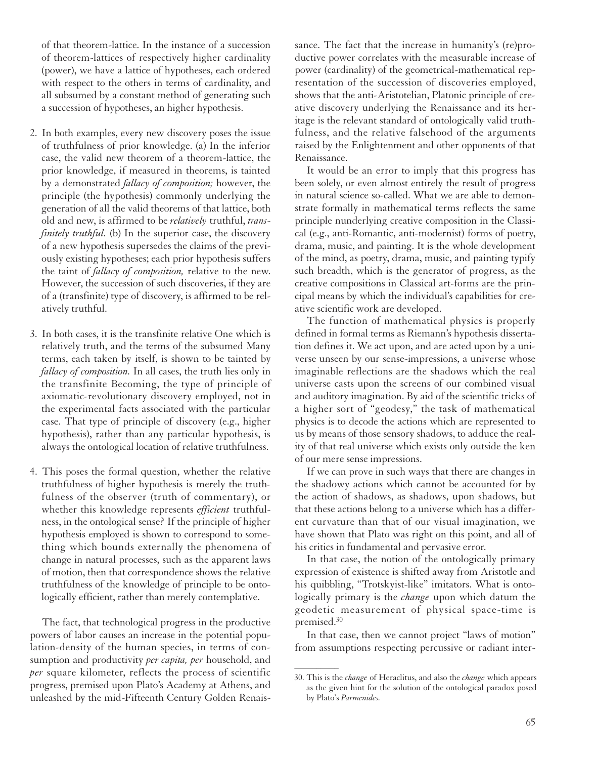of that theorem-lattice. In the instance of a succession of theorem-lattices of respectively higher cardinality (power), we have a lattice of hypotheses, each ordered with respect to the others in terms of cardinality, and all subsumed by a constant method of generating such a succession of hypotheses, an higher hypothesis.

- 2. In both examples, every new discovery poses the issue of truthfulness of prior knowledge. (a) In the inferior case, the valid new theorem of a theorem-lattice, the prior knowledge, if measured in theorems, is tainted by a demonstrated *fallacy of composition;* however, the principle (the hypothesis) commonly underlying the generation of all the valid theorems of that lattice, both old and new, is affirmed to be *relatively* truthful, *transfinitely truthful.* (b) In the superior case, the discovery of a new hypothesis supersedes the claims of the previously existing hypotheses; each prior hypothesis suffers the taint of *fallacy of composition,* relative to the new. However, the succession of such discoveries, if they are of a (transfinite) type of discovery, is affirmed to be relatively truthful.
- 3. In both cases, it is the transfinite relative One which is relatively truth, and the terms of the subsumed Many terms, each taken by itself, is shown to be tainted by *fallacy of composition.* In all cases, the truth lies only in the transfinite Becoming, the type of principle of axiomatic-revolutionary discovery employed, not in the experimental facts associated with the particular case. That type of principle of discovery (e.g., higher hypothesis), rather than any particular hypothesis, is always the ontological location of relative truthfulness.
- 4. This poses the formal question, whether the relative truthfulness of higher hypothesis is merely the truthfulness of the observer (truth of commentary), or whether this knowledge represents *efficient* truthfulness, in the ontological sense? If the principle of higher hypothesis employed is shown to correspond to something which bounds externally the phenomena of change in natural processes, such as the apparent laws of motion, then that correspondence shows the relative truthfulness of the knowledge of principle to be ontologically efficient, rather than merely contemplative.

The fact, that technological progress in the productive powers of labor causes an increase in the potential population-density of the human species, in terms of consumption and productivity *per capita, per* household, and *per* square kilometer, reflects the process of scientific progress, premised upon Plato's Academy at Athens, and unleashed by the mid-Fifteenth Century Golden Renaissance. The fact that the increase in humanity's (re)productive power correlates with the measurable increase of power (cardinality) of the geometrical-mathematical representation of the succession of discoveries employed, shows that the anti-Aristotelian, Platonic principle of creative discovery underlying the Renaissance and its heritage is the relevant standard of ontologically valid truthfulness, and the relative falsehood of the arguments raised by the Enlightenment and other opponents of that Renaissance.

It would be an error to imply that this progress has been solely, or even almost entirely the result of progress in natural science so-called. What we are able to demonstrate formally in mathematical terms reflects the same principle nunderlying creative composition in the Classical (e.g., anti-Romantic, anti-modernist) forms of poetry, drama, music, and painting. It is the whole development of the mind, as poetry, drama, music, and painting typify such breadth, which is the generator of progress, as the creative compositions in Classical art-forms are the principal means by which the individual's capabilities for creative scientific work are developed.

The function of mathematical physics is properly defined in formal terms as Riemann's hypothesis dissertation defines it. We act upon, and are acted upon by a universe unseen by our sense-impressions, a universe whose imaginable reflections are the shadows which the real universe casts upon the screens of our combined visual and auditory imagination. By aid of the scientific tricks of a higher sort of "geodesy," the task of mathematical physics is to decode the actions which are represented to us by means of those sensory shadows, to adduce the reality of that real universe which exists only outside the ken of our mere sense impressions.

If we can prove in such ways that there are changes in the shadowy actions which cannot be accounted for by the action of shadows, as shadows, upon shadows, but that these actions belong to a universe which has a different curvature than that of our visual imagination, we have shown that Plato was right on this point, and all of his critics in fundamental and pervasive error.

In that case, the notion of the ontologically primary expression of existence is shifted away from Aristotle and his quibbling, "Trotskyist-like" imitators. What is ontologically primary is the *change* upon which datum the geodetic measurement of physical space-time is premised.30

In that case, then we cannot project "laws of motion" from assumptions respecting percussive or radiant inter-

<sup>30.</sup> This is the *change* of Heraclitus, and also the *change* which appears as the given hint for the solution of the ontological paradox posed by Plato's *Parmenides.*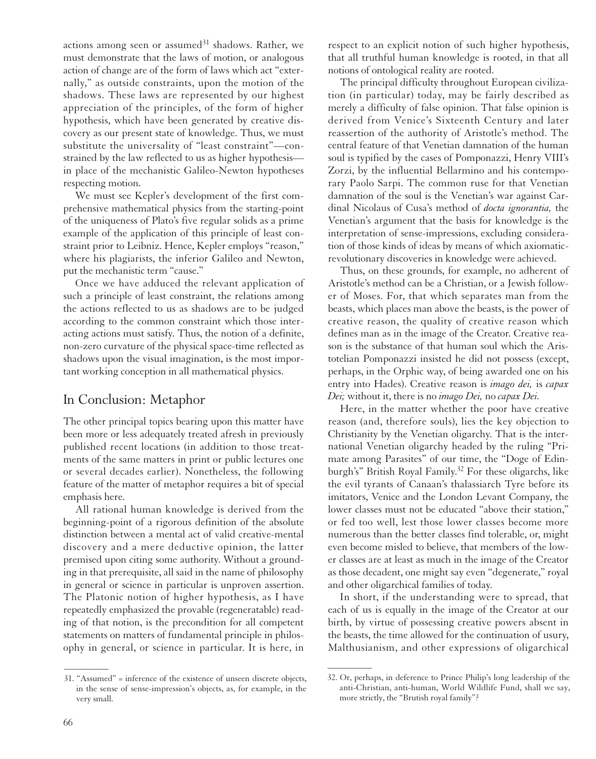actions among seen or assumed $31$  shadows. Rather, we must demonstrate that the laws of motion, or analogous action of change are of the form of laws which act "externally," as outside constraints, upon the motion of the shadows. These laws are represented by our highest appreciation of the principles, of the form of higher hypothesis, which have been generated by creative discovery as our present state of knowledge. Thus, we must substitute the universality of "least constraint"—constrained by the law reflected to us as higher hypothesis in place of the mechanistic Galileo-Newton hypotheses respecting motion.

We must see Kepler's development of the first comprehensive mathematical physics from the starting-point of the uniqueness of Plato's five regular solids as a prime example of the application of this principle of least constraint prior to Leibniz. Hence, Kepler employs "reason," where his plagiarists, the inferior Galileo and Newton, put the mechanistic term "cause."

Once we have adduced the relevant application of such a principle of least constraint, the relations among the actions reflected to us as shadows are to be judged according to the common constraint which those interacting actions must satisfy. Thus, the notion of a definite, non-zero curvature of the physical space-time reflected as shadows upon the visual imagination, is the most important working conception in all mathematical physics.

### In Conclusion: Metaphor

The other principal topics bearing upon this matter have been more or less adequately treated afresh in previously published recent locations (in addition to those treatments of the same matters in print or public lectures one or several decades earlier). Nonetheless, the following feature of the matter of metaphor requires a bit of special emphasis here.

All rational human knowledge is derived from the beginning-point of a rigorous definition of the absolute distinction between a mental act of valid creative-mental discovery and a mere deductive opinion, the latter premised upon citing some authority. Without a grounding in that prerequisite, all said in the name of philosophy in general or science in particular is unproven assertion. The Platonic notion of higher hypothesis, as I have repeatedly emphasized the provable (regeneratable) reading of that notion, is the precondition for all competent statements on matters of fundamental principle in philosophy in general, or science in particular. It is here, in

respect to an explicit notion of such higher hypothesis, that all truthful human knowledge is rooted, in that all notions of ontological reality are rooted.

The principal difficulty throughout European civilization (in particular) today, may be fairly described as merely a difficulty of false opinion. That false opinion is derived from Venice's Sixteenth Century and later reassertion of the authority of Aristotle's method. The central feature of that Venetian damnation of the human soul is typified by the cases of Pomponazzi, Henry VIII's Zorzi, by the influential Bellarmino and his contemporary Paolo Sarpi. The common ruse for that Venetian damnation of the soul is the Venetian's war against Cardinal Nicolaus of Cusa's method of *docta ignorantia,* the Venetian's argument that the basis for knowledge is the interpretation of sense-impressions, excluding consideration of those kinds of ideas by means of which axiomaticrevolutionary discoveries in knowledge were achieved.

Thus, on these grounds, for example, no adherent of Aristotle's method can be a Christian, or a Jewish follower of Moses. For, that which separates man from the beasts, which places man above the beasts, is the power of creative reason, the quality of creative reason which defines man as in the image of the Creator. Creative reason is the substance of that human soul which the Aristotelian Pomponazzi insisted he did not possess (except, perhaps, in the Orphic way, of being awarded one on his entry into Hades). Creative reason is *imago dei,* is *capax Dei;* without it, there is no *imago Dei,* no *capax Dei.*

Here, in the matter whether the poor have creative reason (and, therefore souls), lies the key objection to Christianity by the Venetian oligarchy. That is the international Venetian oligarchy headed by the ruling "Primate among Parasites" of our time, the "Doge of Edinburgh's" British Royal Family.32 For these oligarchs, like the evil tyrants of Canaan's thalassiarch Tyre before its imitators, Venice and the London Levant Company, the lower classes must not be educated "above their station," or fed too well, lest those lower classes become more numerous than the better classes find tolerable, or, might even become misled to believe, that members of the lower classes are at least as much in the image of the Creator as those decadent, one might say even "degenerate," royal and other oligarchical families of today.

In short, if the understanding were to spread, that each of us is equally in the image of the Creator at our birth, by virtue of possessing creative powers absent in the beasts, the time allowed for the continuation of usury, Malthusianism, and other expressions of oligarchical

 $\overline{\phantom{a}}$ 

<sup>31. &</sup>quot;Assumed" = inference of the existence of unseen discrete objects, in the sense of sense-impression's objects, as, for example, in the very small.

<sup>32.</sup> Or, perhaps, in deference to Prince Philip's long leadership of the anti-Christian, anti-human, World Wildlife Fund, shall we say, more strictly, the "Brutish royal family"?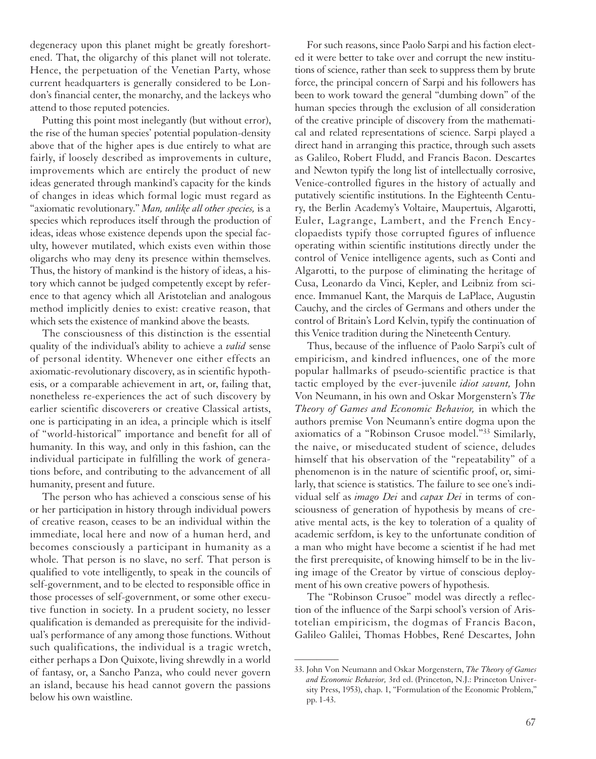degeneracy upon this planet might be greatly foreshortened. That, the oligarchy of this planet will not tolerate. Hence, the perpetuation of the Venetian Party, whose current headquarters is generally considered to be London's financial center, the monarchy, and the lackeys who attend to those reputed potencies.

Putting this point most inelegantly (but without error), the rise of the human species' potential population-density above that of the higher apes is due entirely to what are fairly, if loosely described as improvements in culture, improvements which are entirely the product of new ideas generated through mankind's capacity for the kinds of changes in ideas which formal logic must regard as "axiomatic revolutionary." *Man, unlike all other species,* is a species which reproduces itself through the production of ideas, ideas whose existence depends upon the special faculty, however mutilated, which exists even within those oligarchs who may deny its presence within themselves. Thus, the history of mankind is the history of ideas, a history which cannot be judged competently except by reference to that agency which all Aristotelian and analogous method implicitly denies to exist: creative reason, that which sets the existence of mankind above the beasts.

The consciousness of this distinction is the essential quality of the individual's ability to achieve a *valid* sense of personal identity. Whenever one either effects an axiomatic-revolutionary discovery, as in scientific hypothesis, or a comparable achievement in art, or, failing that, nonetheless re-experiences the act of such discovery by earlier scientific discoverers or creative Classical artists, one is participating in an idea, a principle which is itself of "world-historical" importance and benefit for all of humanity. In this way, and only in this fashion, can the individual participate in fulfilling the work of generations before, and contributing to the advancement of all humanity, present and future.

The person who has achieved a conscious sense of his or her participation in history through individual powers of creative reason, ceases to be an individual within the immediate, local here and now of a human herd, and becomes consciously a participant in humanity as a whole. That person is no slave, no serf. That person is qualified to vote intelligently, to speak in the councils of self-government, and to be elected to responsible office in those processes of self-government, or some other executive function in society. In a prudent society, no lesser qualification is demanded as prerequisite for the individual's performance of any among those functions. Without such qualifications, the individual is a tragic wretch, either perhaps a Don Quixote, living shrewdly in a world of fantasy, or, a Sancho Panza, who could never govern an island, because his head cannot govern the passions below his own waistline.

For such reasons, since Paolo Sarpi and his faction elected it were better to take over and corrupt the new institutions of science, rather than seek to suppress them by brute force, the principal concern of Sarpi and his followers has been to work toward the general "dumbing down" of the human species through the exclusion of all consideration of the creative principle of discovery from the mathematical and related representations of science. Sarpi played a direct hand in arranging this practice, through such assets as Galileo, Robert Fludd, and Francis Bacon. Descartes and Newton typify the long list of intellectually corrosive, Venice-controlled figures in the history of actually and putatively scientific institutions. In the Eighteenth Century, the Berlin Academy's Voltaire, Maupertuis, Algarotti, Euler, Lagrange, Lambert, and the French Encyclopaedists typify those corrupted figures of influence operating within scientific institutions directly under the control of Venice intelligence agents, such as Conti and Algarotti, to the purpose of eliminating the heritage of Cusa, Leonardo da Vinci, Kepler, and Leibniz from science. Immanuel Kant, the Marquis de LaPlace, Augustin Cauchy, and the circles of Germans and others under the control of Britain's Lord Kelvin, typify the continuation of this Venice tradition during the Nineteenth Century.

Thus, because of the influence of Paolo Sarpi's cult of empiricism, and kindred influences, one of the more popular hallmarks of pseudo-scientific practice is that tactic employed by the ever-juvenile *idiot savant,* John Von Neumann, in his own and Oskar Morgenstern's *The Theory of Games and Economic Behavior,* in which the authors premise Von Neumann's entire dogma upon the axiomatics of a "Robinson Crusoe model."33 Similarly, the naive, or miseducated student of science, deludes himself that his observation of the "repeatability" of a phenomenon is in the nature of scientific proof, or, similarly, that science is statistics. The failure to see one's individual self as *imago Dei* and *capax Dei* in terms of consciousness of generation of hypothesis by means of creative mental acts, is the key to toleration of a quality of academic serfdom, is key to the unfortunate condition of a man who might have become a scientist if he had met the first prerequisite, of knowing himself to be in the living image of the Creator by virtue of conscious deployment of his own creative powers of hypothesis.

The "Robinson Crusoe" model was directly a reflection of the influence of the Sarpi school's version of Aristotelian empiricism, the dogmas of Francis Bacon, Galileo Galilei, Thomas Hobbes, René Descartes, John

<sup>33.</sup> John Von Neumann and Oskar Morgenstern, *The Theory of Games and Economic Behavior,* 3rd ed. (Princeton, N.J.: Princeton University Press, 1953), chap. 1, "Formulation of the Economic Problem," pp. 1-43.